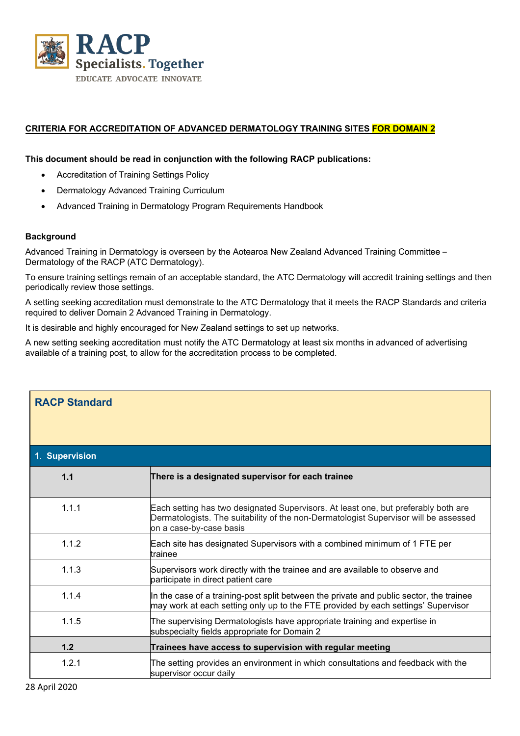

## **CRITERIA FOR ACCREDITATION OF ADVANCED DERMATOLOGY TRAINING SITES FOR DOMAIN 2**

## **This document should be read in conjunction with the following RACP publications:**

- Accreditation of Training Settings Policy
- Dermatology Advanced Training Curriculum
- Advanced Training in Dermatology Program Requirements Handbook

## **Background**

Advanced Training in Dermatology is overseen by the Aotearoa New Zealand Advanced Training Committee – Dermatology of the RACP (ATC Dermatology).

To ensure training settings remain of an acceptable standard, the ATC Dermatology will accredit training settings and then periodically review those settings.

A setting seeking accreditation must demonstrate to the ATC Dermatology that it meets the RACP Standards and criteria required to deliver Domain 2 Advanced Training in Dermatology.

It is desirable and highly encouraged for New Zealand settings to set up networks.

A new setting seeking accreditation must notify the ATC Dermatology at least six months in advanced of advertising available of a training post, to allow for the accreditation process to be completed.

| <b>RACP Standard</b> |                                                                                                                                                                                                       |  |
|----------------------|-------------------------------------------------------------------------------------------------------------------------------------------------------------------------------------------------------|--|
| 1. Supervision       |                                                                                                                                                                                                       |  |
| 1.1                  | There is a designated supervisor for each trainee                                                                                                                                                     |  |
| 1.1.1                | Each setting has two designated Supervisors. At least one, but preferably both are<br>Dermatologists. The suitability of the non-Dermatologist Supervisor will be assessed<br>on a case-by-case basis |  |
| 1.1.2                | Each site has designated Supervisors with a combined minimum of 1 FTE per<br>trainee                                                                                                                  |  |
| 1.1.3                | Supervisors work directly with the trainee and are available to observe and<br>participate in direct patient care                                                                                     |  |
| 1.1.4                | In the case of a training-post split between the private and public sector, the trainee<br>may work at each setting only up to the FTE provided by each settings' Supervisor                          |  |
| 1.1.5                | The supervising Dermatologists have appropriate training and expertise in<br>subspecialty fields appropriate for Domain 2                                                                             |  |
| $1.2$                | Trainees have access to supervision with regular meeting                                                                                                                                              |  |
| 1.2.1                | The setting provides an environment in which consultations and feedback with the<br>supervisor occur daily                                                                                            |  |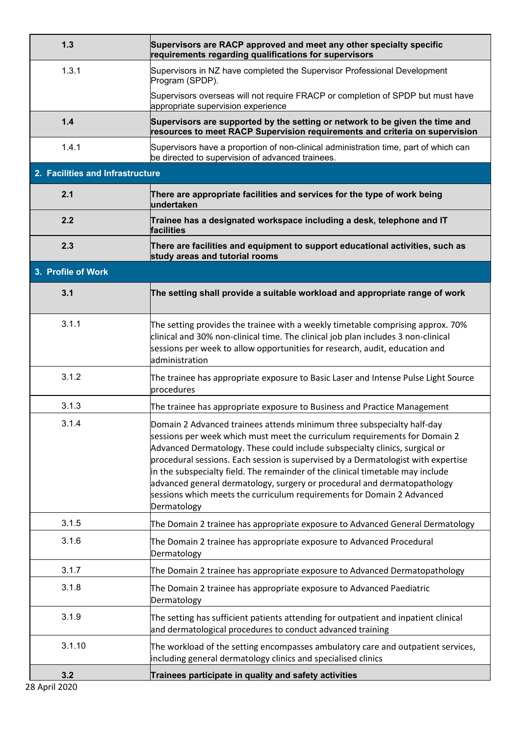| 1.3                              | Supervisors are RACP approved and meet any other specialty specific<br>requirements regarding qualifications for supervisors                                                                                                                                                                                                                                                                                                                                                                                                                                                    |
|----------------------------------|---------------------------------------------------------------------------------------------------------------------------------------------------------------------------------------------------------------------------------------------------------------------------------------------------------------------------------------------------------------------------------------------------------------------------------------------------------------------------------------------------------------------------------------------------------------------------------|
| 1.3.1                            | Supervisors in NZ have completed the Supervisor Professional Development<br>Program (SPDP).                                                                                                                                                                                                                                                                                                                                                                                                                                                                                     |
|                                  | Supervisors overseas will not require FRACP or completion of SPDP but must have<br>appropriate supervision experience                                                                                                                                                                                                                                                                                                                                                                                                                                                           |
| 1.4                              | Supervisors are supported by the setting or network to be given the time and<br>resources to meet RACP Supervision requirements and criteria on supervision                                                                                                                                                                                                                                                                                                                                                                                                                     |
| 1.4.1                            | Supervisors have a proportion of non-clinical administration time, part of which can<br>be directed to supervision of advanced trainees.                                                                                                                                                                                                                                                                                                                                                                                                                                        |
| 2. Facilities and Infrastructure |                                                                                                                                                                                                                                                                                                                                                                                                                                                                                                                                                                                 |
| 2.1                              | There are appropriate facilities and services for the type of work being<br>lundertaken                                                                                                                                                                                                                                                                                                                                                                                                                                                                                         |
| 2.2                              | Trainee has a designated workspace including a desk, telephone and IT<br>facilities                                                                                                                                                                                                                                                                                                                                                                                                                                                                                             |
| 2.3                              | There are facilities and equipment to support educational activities, such as<br>study areas and tutorial rooms                                                                                                                                                                                                                                                                                                                                                                                                                                                                 |
| 3. Profile of Work               |                                                                                                                                                                                                                                                                                                                                                                                                                                                                                                                                                                                 |
| 3.1                              | The setting shall provide a suitable workload and appropriate range of work                                                                                                                                                                                                                                                                                                                                                                                                                                                                                                     |
| 3.1.1                            | The setting provides the trainee with a weekly timetable comprising approx. 70%<br>clinical and 30% non-clinical time. The clinical job plan includes 3 non-clinical<br>sessions per week to allow opportunities for research, audit, education and<br>administration                                                                                                                                                                                                                                                                                                           |
| 3.1.2                            | The trainee has appropriate exposure to Basic Laser and Intense Pulse Light Source<br>brocedures                                                                                                                                                                                                                                                                                                                                                                                                                                                                                |
| 3.1.3                            | The trainee has appropriate exposure to Business and Practice Management                                                                                                                                                                                                                                                                                                                                                                                                                                                                                                        |
| 3.1.4                            | Domain 2 Advanced trainees attends minimum three subspecialty half-day<br>sessions per week which must meet the curriculum requirements for Domain 2<br>Advanced Dermatology. These could include subspecialty clinics, surgical or<br>procedural sessions. Each session is supervised by a Dermatologist with expertise<br>in the subspecialty field. The remainder of the clinical timetable may include<br>advanced general dermatology, surgery or procedural and dermatopathology<br>sessions which meets the curriculum requirements for Domain 2 Advanced<br>Dermatology |
| 3.1.5                            | The Domain 2 trainee has appropriate exposure to Advanced General Dermatology                                                                                                                                                                                                                                                                                                                                                                                                                                                                                                   |
| 3.1.6                            | The Domain 2 trainee has appropriate exposure to Advanced Procedural<br>Dermatology                                                                                                                                                                                                                                                                                                                                                                                                                                                                                             |
| 3.1.7                            | The Domain 2 trainee has appropriate exposure to Advanced Dermatopathology                                                                                                                                                                                                                                                                                                                                                                                                                                                                                                      |
| 3.1.8                            | The Domain 2 trainee has appropriate exposure to Advanced Paediatric<br>Dermatology                                                                                                                                                                                                                                                                                                                                                                                                                                                                                             |
| 3.1.9                            | The setting has sufficient patients attending for outpatient and inpatient clinical<br>and dermatological procedures to conduct advanced training                                                                                                                                                                                                                                                                                                                                                                                                                               |
| 3.1.10                           | The workload of the setting encompasses ambulatory care and outpatient services,<br>including general dermatology clinics and specialised clinics                                                                                                                                                                                                                                                                                                                                                                                                                               |
| 3.2<br>28 April 2020             | Trainees participate in quality and safety activities                                                                                                                                                                                                                                                                                                                                                                                                                                                                                                                           |